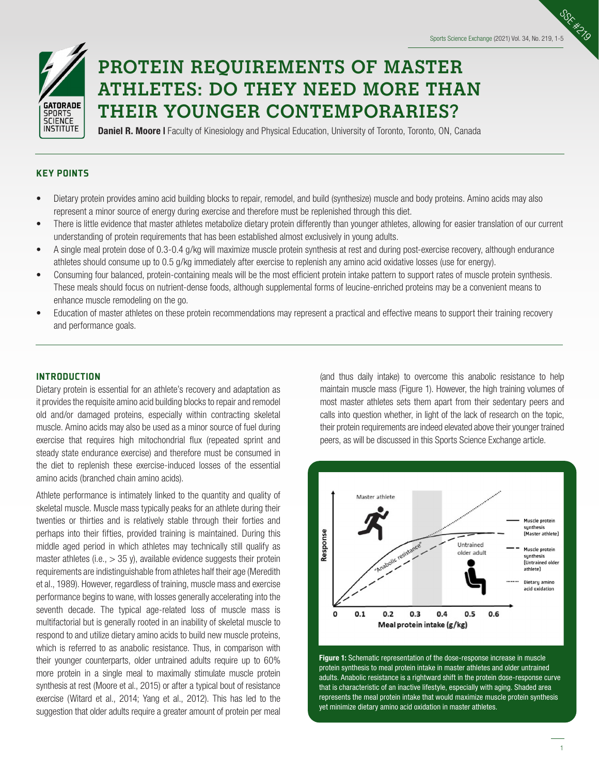Sports Science Exchange (2021) Vol. 34, No. 219, 1-5

SSE #2



# **PROTEIN REQUIREMENTS OF MASTER ATHLETES: DO THEY NEED MORE THAN THEIR YOUNGER CONTEMPORARIES?**

**Daniel R. Moore I** Faculty of Kinesiology and Physical Education, University of Toronto, Toronto, ON, Canada

## KEY POINTS

- Dietary protein provides amino acid building blocks to repair, remodel, and build (synthesize) muscle and body proteins. Amino acids may also represent a minor source of energy during exercise and therefore must be replenished through this diet.
- There is little evidence that master athletes metabolize dietary protein differently than younger athletes, allowing for easier translation of our current understanding of protein requirements that has been established almost exclusively in young adults.
- A single meal protein dose of 0.3-0.4 g/kg will maximize muscle protein synthesis at rest and during post-exercise recovery, although endurance athletes should consume up to 0.5 g/kg immediately after exercise to replenish any amino acid oxidative losses (use for energy).
- Consuming four balanced, protein-containing meals will be the most efficient protein intake pattern to support rates of muscle protein synthesis. These meals should focus on nutrient-dense foods, although supplemental forms of leucine-enriched proteins may be a convenient means to enhance muscle remodeling on the go.
- Education of master athletes on these protein recommendations may represent a practical and effective means to support their training recovery and performance goals.

## **INTRODUCTION**

Dietary protein is essential for an athlete's recovery and adaptation as it provides the requisite amino acid building blocks to repair and remodel old and/or damaged proteins, especially within contracting skeletal muscle. Amino acids may also be used as a minor source of fuel during exercise that requires high mitochondrial flux (repeated sprint and steady state endurance exercise) and therefore must be consumed in the diet to replenish these exercise-induced losses of the essential amino acids (branched chain amino acids).

Athlete performance is intimately linked to the quantity and quality of skeletal muscle. Muscle mass typically peaks for an athlete during their twenties or thirties and is relatively stable through their forties and perhaps into their fifties, provided training is maintained. During this middle aged period in which athletes may technically still qualify as master athletes (i.e.,  $> 35$  y), available evidence suggests their protein requirements are indistinguishable from athletes half their age (Meredith et al., 1989). However, regardless of training, muscle mass and exercise performance begins to wane, with losses generally accelerating into the seventh decade. The typical age-related loss of muscle mass is multifactorial but is generally rooted in an inability of skeletal muscle to respond to and utilize dietary amino acids to build new muscle proteins, which is referred to as anabolic resistance. Thus, in comparison with their younger counterparts, older untrained adults require up to 60% more protein in a single meal to maximally stimulate muscle protein synthesis at rest (Moore et al., 2015) or after a typical bout of resistance exercise (Witard et al., 2014; Yang et al., 2012). This has led to the suggestion that older adults require a greater amount of protein per meal

(and thus daily intake) to overcome this anabolic resistance to help maintain muscle mass (Figure 1). However, the high training volumes of most master athletes sets them apart from their sedentary peers and calls into question whether, in light of the lack of research on the topic, their protein requirements are indeed elevated above their younger trained peers, as will be discussed in this Sports Science Exchange article.



Figure 1: Schematic representation of the dose-response increase in muscle protein synthesis to meal protein intake in master athletes and older untrained adults. Anabolic resistance is a rightward shift in the protein dose-response curve that is characteristic of an inactive lifestyle, especially with aging. Shaded area represents the meal protein intake that would maximize muscle protein synthesis yet minimize dietary amino acid oxidation in master athletes.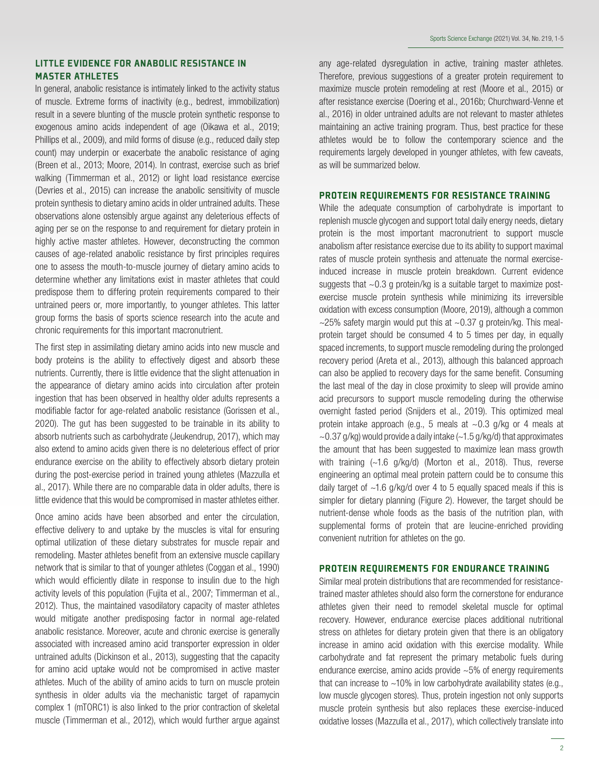## LITTLE EVIDENCE FOR ANABOLIC RESISTANCE IN MASTER ATHLETES

In general, anabolic resistance is intimately linked to the activity status of muscle. Extreme forms of inactivity (e.g., bedrest, immobilization) result in a severe blunting of the muscle protein synthetic response to exogenous amino acids independent of age (Oikawa et al., 2019; Phillips et al., 2009), and mild forms of disuse (e.g., reduced daily step count) may underpin or exacerbate the anabolic resistance of aging (Breen et al., 2013; Moore, 2014). In contrast, exercise such as brief walking (Timmerman et al., 2012) or light load resistance exercise (Devries et al., 2015) can increase the anabolic sensitivity of muscle protein synthesis to dietary amino acids in older untrained adults. These observations alone ostensibly argue against any deleterious effects of aging per se on the response to and requirement for dietary protein in highly active master athletes. However, deconstructing the common causes of age-related anabolic resistance by first principles requires one to assess the mouth-to-muscle journey of dietary amino acids to determine whether any limitations exist in master athletes that could predispose them to differing protein requirements compared to their untrained peers or, more importantly, to younger athletes. This latter group forms the basis of sports science research into the acute and chronic requirements for this important macronutrient.

The first step in assimilating dietary amino acids into new muscle and body proteins is the ability to effectively digest and absorb these nutrients. Currently, there is little evidence that the slight attenuation in the appearance of dietary amino acids into circulation after protein ingestion that has been observed in healthy older adults represents a modifiable factor for age-related anabolic resistance (Gorissen et al., 2020). The gut has been suggested to be trainable in its ability to absorb nutrients such as carbohydrate (Jeukendrup, 2017), which may also extend to amino acids given there is no deleterious effect of prior endurance exercise on the ability to effectively absorb dietary protein during the post-exercise period in trained young athletes (Mazzulla et al., 2017). While there are no comparable data in older adults, there is little evidence that this would be compromised in master athletes either.

Once amino acids have been absorbed and enter the circulation, effective delivery to and uptake by the muscles is vital for ensuring optimal utilization of these dietary substrates for muscle repair and remodeling. Master athletes benefit from an extensive muscle capillary network that is similar to that of younger athletes (Coggan et al., 1990) which would efficiently dilate in response to insulin due to the high activity levels of this population (Fujita et al., 2007; Timmerman et al., 2012). Thus, the maintained vasodilatory capacity of master athletes would mitigate another predisposing factor in normal age-related anabolic resistance. Moreover, acute and chronic exercise is generally associated with increased amino acid transporter expression in older untrained adults (Dickinson et al., 2013), suggesting that the capacity for amino acid uptake would not be compromised in active master athletes. Much of the ability of amino acids to turn on muscle protein synthesis in older adults via the mechanistic target of rapamycin complex 1 (mTORC1) is also linked to the prior contraction of skeletal muscle (Timmerman et al., 2012), which would further argue against

any age-related dysregulation in active, training master athletes. Therefore, previous suggestions of a greater protein requirement to maximize muscle protein remodeling at rest (Moore et al., 2015) or after resistance exercise (Doering et al., 2016b; Churchward-Venne et al., 2016) in older untrained adults are not relevant to master athletes maintaining an active training program. Thus, best practice for these athletes would be to follow the contemporary science and the requirements largely developed in younger athletes, with few caveats, as will be summarized below.

#### PROTEIN REQUIREMENTS FOR RESISTANCE TRAINING

While the adequate consumption of carbohydrate is important to replenish muscle glycogen and support total daily energy needs, dietary protein is the most important macronutrient to support muscle anabolism after resistance exercise due to its ability to support maximal rates of muscle protein synthesis and attenuate the normal exerciseinduced increase in muscle protein breakdown. Current evidence suggests that  $\sim 0.3$  g protein/kg is a suitable target to maximize postexercise muscle protein synthesis while minimizing its irreversible oxidation with excess consumption (Moore, 2019), although a common  $\sim$ 25% safety margin would put this at  $\sim$ 0.37 g protein/kg. This mealprotein target should be consumed 4 to 5 times per day, in equally spaced increments, to support muscle remodeling during the prolonged recovery period (Areta et al., 2013), although this balanced approach can also be applied to recovery days for the same benefit. Consuming the last meal of the day in close proximity to sleep will provide amino acid precursors to support muscle remodeling during the otherwise overnight fasted period (Snijders et al., 2019). This optimized meal protein intake approach (e.g., 5 meals at  $\sim$  0.3 g/kg or 4 meals at  $\sim$  0.37 g/kg) would provide a daily intake ( $\sim$  1.5 g/kg/d) that approximates the amount that has been suggested to maximize lean mass growth with training (~1.6 g/kg/d) (Morton et al., 2018). Thus, reverse engineering an optimal meal protein pattern could be to consume this daily target of  $\sim$ 1.6 g/kg/d over 4 to 5 equally spaced meals if this is simpler for dietary planning (Figure 2). However, the target should be nutrient-dense whole foods as the basis of the nutrition plan, with supplemental forms of protein that are leucine-enriched providing convenient nutrition for athletes on the go.

## PROTEIN REQUIREMENTS FOR ENDURANCE TRAINING

Similar meal protein distributions that are recommended for resistancetrained master athletes should also form the cornerstone for endurance athletes given their need to remodel skeletal muscle for optimal recovery. However, endurance exercise places additional nutritional stress on athletes for dietary protein given that there is an obligatory increase in amino acid oxidation with this exercise modality. While carbohydrate and fat represent the primary metabolic fuels during endurance exercise, amino acids provide  $~5\%$  of energy requirements that can increase to  $\sim$ 10% in low carbohydrate availability states (e.g., low muscle glycogen stores). Thus, protein ingestion not only supports muscle protein synthesis but also replaces these exercise-induced oxidative losses (Mazzulla et al., 2017), which collectively translate into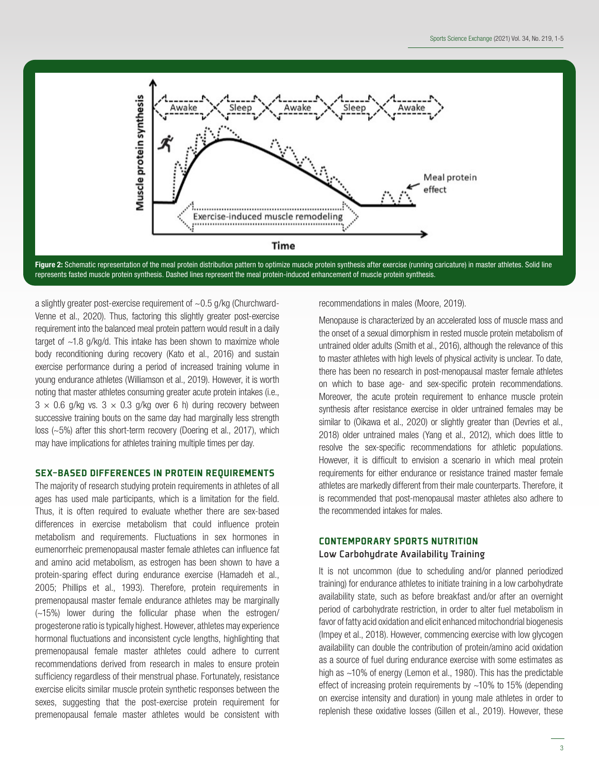

Figure 2: Schematic representation of the meal protein distribution pattern to optimize muscle protein synthesis after exercise (running caricature) in master athletes. Solid line represents fasted muscle protein synthesis. Dashed lines represent the meal protein-induced enhancement of muscle protein synthesis.

a slightly greater post-exercise requirement of  $\sim$  0.5 g/kg (Churchward-Venne et al., 2020). Thus, factoring this slightly greater post-exercise requirement into the balanced meal protein pattern would result in a daily target of  $\sim$ 1.8 g/kg/d. This intake has been shown to maximize whole body reconditioning during recovery (Kato et al., 2016) and sustain exercise performance during a period of increased training volume in young endurance athletes (Williamson et al., 2019). However, it is worth noting that master athletes consuming greater acute protein intakes (i.e.,  $3 \times 0.6$  g/kg vs.  $3 \times 0.3$  g/kg over 6 h) during recovery between successive training bouts on the same day had marginally less strength loss (~5%) after this short-term recovery (Doering et al., 2017), which may have implications for athletes training multiple times per day.

## SEX-BASED DIFFERENCES IN PROTEIN REQUIREMENTS

The majority of research studying protein requirements in athletes of all ages has used male participants, which is a limitation for the field. Thus, it is often required to evaluate whether there are sex-based differences in exercise metabolism that could influence protein metabolism and requirements. Fluctuations in sex hormones in eumenorrheic premenopausal master female athletes can influence fat and amino acid metabolism, as estrogen has been shown to have a protein-sparing effect during endurance exercise (Hamadeh et al., 2005; Phillips et al., 1993). Therefore, protein requirements in premenopausal master female endurance athletes may be marginally (~15%) lower during the follicular phase when the estrogen/ progesterone ratio is typically highest. However, athletes may experience hormonal fluctuations and inconsistent cycle lengths, highlighting that premenopausal female master athletes could adhere to current recommendations derived from research in males to ensure protein sufficiency regardless of their menstrual phase. Fortunately, resistance exercise elicits similar muscle protein synthetic responses between the sexes, suggesting that the post-exercise protein requirement for premenopausal female master athletes would be consistent with

recommendations in males (Moore, 2019).

Menopause is characterized by an accelerated loss of muscle mass and the onset of a sexual dimorphism in rested muscle protein metabolism of untrained older adults (Smith et al., 2016), although the relevance of this to master athletes with high levels of physical activity is unclear. To date, there has been no research in post-menopausal master female athletes on which to base age- and sex-specific protein recommendations. Moreover, the acute protein requirement to enhance muscle protein synthesis after resistance exercise in older untrained females may be similar to (Oikawa et al., 2020) or slightly greater than (Devries et al., 2018) older untrained males (Yang et al., 2012), which does little to resolve the sex-specific recommendations for athletic populations. However, it is difficult to envision a scenario in which meal protein requirements for either endurance or resistance trained master female athletes are markedly different from their male counterparts. Therefore, it is recommended that post-menopausal master athletes also adhere to the recommended intakes for males.

## CONTEMPORARY SPORTS NUTRITION Low Carbohydrate Availability Training

It is not uncommon (due to scheduling and/or planned periodized training) for endurance athletes to initiate training in a low carbohydrate availability state, such as before breakfast and/or after an overnight period of carbohydrate restriction, in order to alter fuel metabolism in favor of fatty acid oxidation and elicit enhanced mitochondrial biogenesis (Impey et al., 2018). However, commencing exercise with low glycogen availability can double the contribution of protein/amino acid oxidation as a source of fuel during endurance exercise with some estimates as high as ~10% of energy (Lemon et al., 1980). This has the predictable effect of increasing protein requirements by  $~10\%$  to 15% (depending on exercise intensity and duration) in young male athletes in order to replenish these oxidative losses (Gillen et al., 2019). However, these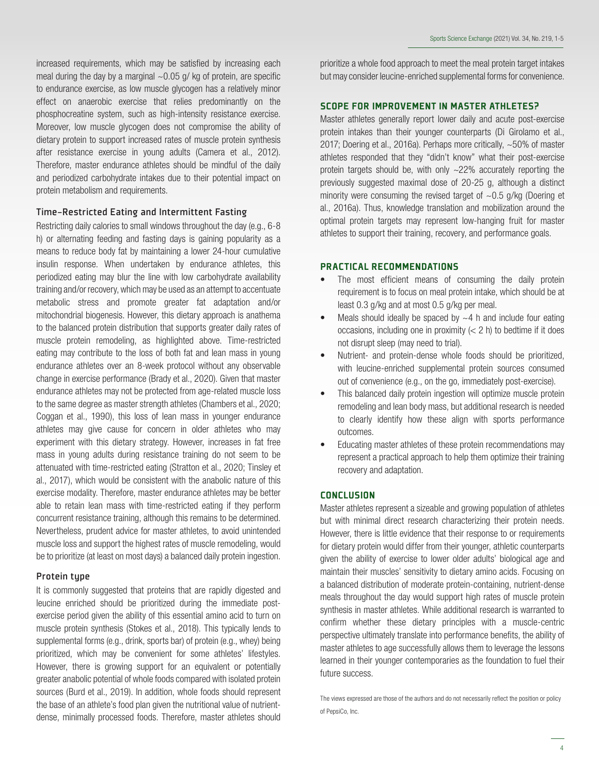increased requirements, which may be satisfied by increasing each meal during the day by a marginal  $\sim$  0.05 g/ kg of protein, are specific to endurance exercise, as low muscle glycogen has a relatively minor effect on anaerobic exercise that relies predominantly on the phosphocreatine system, such as high-intensity resistance exercise. Moreover, low muscle glycogen does not compromise the ability of dietary protein to support increased rates of muscle protein synthesis after resistance exercise in young adults (Camera et al., 2012). Therefore, master endurance athletes should be mindful of the daily and periodized carbohydrate intakes due to their potential impact on protein metabolism and requirements.

## Time-Restricted Eating and Intermittent Fasting

Restricting daily calories to small windows throughout the day (e.g., 6-8 h) or alternating feeding and fasting days is gaining popularity as a means to reduce body fat by maintaining a lower 24-hour cumulative insulin response. When undertaken by endurance athletes, this periodized eating may blur the line with low carbohydrate availability training and/or recovery, which may be used as an attempt to accentuate metabolic stress and promote greater fat adaptation and/or mitochondrial biogenesis. However, this dietary approach is anathema to the balanced protein distribution that supports greater daily rates of muscle protein remodeling, as highlighted above. Time-restricted eating may contribute to the loss of both fat and lean mass in young endurance athletes over an 8-week protocol without any observable change in exercise performance (Brady et al., 2020). Given that master endurance athletes may not be protected from age-related muscle loss to the same degree as master strength athletes (Chambers et al., 2020; Coggan et al., 1990), this loss of lean mass in younger endurance athletes may give cause for concern in older athletes who may experiment with this dietary strategy. However, increases in fat free mass in young adults during resistance training do not seem to be attenuated with time-restricted eating (Stratton et al., 2020; Tinsley et al., 2017), which would be consistent with the anabolic nature of this exercise modality. Therefore, master endurance athletes may be better able to retain lean mass with time-restricted eating if they perform concurrent resistance training, although this remains to be determined. Nevertheless, prudent advice for master athletes, to avoid unintended muscle loss and support the highest rates of muscle remodeling, would be to prioritize (at least on most days) a balanced daily protein ingestion.

## Protein type

It is commonly suggested that proteins that are rapidly digested and leucine enriched should be prioritized during the immediate postexercise period given the ability of this essential amino acid to turn on muscle protein synthesis (Stokes et al., 2018). This typically lends to supplemental forms (e.g., drink, sports bar) of protein (e.g., whey) being prioritized, which may be convenient for some athletes' lifestyles. However, there is growing support for an equivalent or potentially greater anabolic potential of whole foods compared with isolated protein sources (Burd et al., 2019). In addition, whole foods should represent the base of an athlete's food plan given the nutritional value of nutrientdense, minimally processed foods. Therefore, master athletes should

prioritize a whole food approach to meet the meal protein target intakes but may consider leucine-enriched supplemental forms for convenience.

### SCOPE FOR IMPROVEMENT IN MASTER ATHLETES?

Master athletes generally report lower daily and acute post-exercise protein intakes than their younger counterparts (Di Girolamo et al., 2017; Doering et al., 2016a). Perhaps more critically, ~50% of master athletes responded that they "didn't know" what their post-exercise protein targets should be, with only ~22% accurately reporting the previously suggested maximal dose of 20-25 g, although a distinct minority were consuming the revised target of  $\sim 0.5$  g/kg (Doering et al., 2016a). Thus, knowledge translation and mobilization around the optimal protein targets may represent low-hanging fruit for master athletes to support their training, recovery, and performance goals.

## PRACTICAL RECOMMENDATIONS

- The most efficient means of consuming the daily protein requirement is to focus on meal protein intake, which should be at least 0.3 g/kg and at most 0.5 g/kg per meal.
- Meals should ideally be spaced by  $\sim$  4 h and include four eating occasions, including one in proximity  $(< 2 h)$  to bedtime if it does not disrupt sleep (may need to trial).
- Nutrient- and protein-dense whole foods should be prioritized, with leucine-enriched supplemental protein sources consumed out of convenience (e.g., on the go, immediately post-exercise).
- This balanced daily protein ingestion will optimize muscle protein remodeling and lean body mass, but additional research is needed to clearly identify how these align with sports performance outcomes.
- Educating master athletes of these protein recommendations may represent a practical approach to help them optimize their training recovery and adaptation.

#### **CONCLUSION**

Master athletes represent a sizeable and growing population of athletes but with minimal direct research characterizing their protein needs. However, there is little evidence that their response to or requirements for dietary protein would differ from their younger, athletic counterparts given the ability of exercise to lower older adults' biological age and maintain their muscles' sensitivity to dietary amino acids. Focusing on a balanced distribution of moderate protein-containing, nutrient-dense meals throughout the day would support high rates of muscle protein synthesis in master athletes. While additional research is warranted to confirm whether these dietary principles with a muscle-centric perspective ultimately translate into performance benefits, the ability of master athletes to age successfully allows them to leverage the lessons learned in their younger contemporaries as the foundation to fuel their future success.

The views expressed are those of the authors and do not necessarily reflect the position or policy of PepsiCo, Inc.